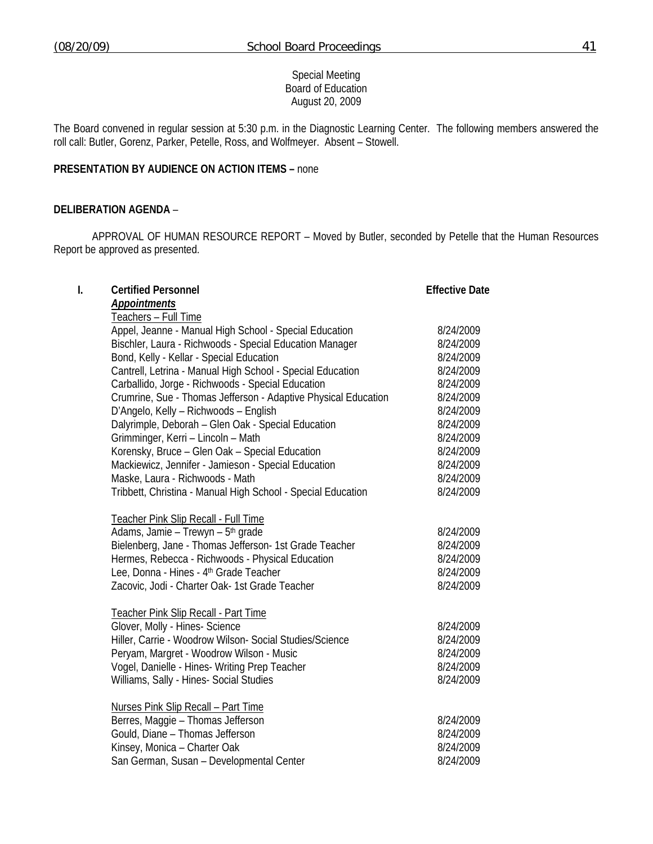Special Meeting Board of Education August 20, 2009

The Board convened in regular session at 5:30 p.m. in the Diagnostic Learning Center. The following members answered the roll call: Butler, Gorenz, Parker, Petelle, Ross, and Wolfmeyer. Absent – Stowell.

## **PRESENTATION BY AUDIENCE ON ACTION ITEMS –** none

## **DELIBERATION AGENDA** –

 APPROVAL OF HUMAN RESOURCE REPORT – Moved by Butler, seconded by Petelle that the Human Resources Report be approved as presented.

| I. | <b>Certified Personnel</b>                                     | <b>Effective Date</b> |
|----|----------------------------------------------------------------|-----------------------|
|    | <b>Appointments</b>                                            |                       |
|    | Teachers - Full Time                                           |                       |
|    | Appel, Jeanne - Manual High School - Special Education         | 8/24/2009             |
|    | Bischler, Laura - Richwoods - Special Education Manager        | 8/24/2009             |
|    | Bond, Kelly - Kellar - Special Education                       | 8/24/2009             |
|    | Cantrell, Letrina - Manual High School - Special Education     | 8/24/2009             |
|    | Carballido, Jorge - Richwoods - Special Education              | 8/24/2009             |
|    | Crumrine, Sue - Thomas Jefferson - Adaptive Physical Education | 8/24/2009             |
|    | D'Angelo, Kelly - Richwoods - English                          | 8/24/2009             |
|    | Dalyrimple, Deborah - Glen Oak - Special Education             | 8/24/2009             |
|    | Grimminger, Kerri - Lincoln - Math                             | 8/24/2009             |
|    | Korensky, Bruce - Glen Oak - Special Education                 | 8/24/2009             |
|    | Mackiewicz, Jennifer - Jamieson - Special Education            | 8/24/2009             |
|    | Maske, Laura - Richwoods - Math                                | 8/24/2009             |
|    | Tribbett, Christina - Manual High School - Special Education   | 8/24/2009             |
|    | Teacher Pink Slip Recall - Full Time                           |                       |
|    | Adams, Jamie - Trewyn - 5 <sup>th</sup> grade                  | 8/24/2009             |
|    | Bielenberg, Jane - Thomas Jefferson- 1st Grade Teacher         | 8/24/2009             |
|    | Hermes, Rebecca - Richwoods - Physical Education               | 8/24/2009             |
|    | Lee, Donna - Hines - 4 <sup>th</sup> Grade Teacher             | 8/24/2009             |
|    | Zacovic, Jodi - Charter Oak- 1st Grade Teacher                 | 8/24/2009             |
|    | Teacher Pink Slip Recall - Part Time                           |                       |
|    | Glover, Molly - Hines- Science                                 | 8/24/2009             |
|    | Hiller, Carrie - Woodrow Wilson- Social Studies/Science        | 8/24/2009             |
|    | Peryam, Margret - Woodrow Wilson - Music                       | 8/24/2009             |
|    | Vogel, Danielle - Hines- Writing Prep Teacher                  | 8/24/2009             |
|    | Williams, Sally - Hines- Social Studies                        | 8/24/2009             |
|    | <b>Nurses Pink Slip Recall - Part Time</b>                     |                       |
|    | Berres, Maggie - Thomas Jefferson                              | 8/24/2009             |
|    | Gould, Diane - Thomas Jefferson                                | 8/24/2009             |
|    | Kinsey, Monica - Charter Oak                                   | 8/24/2009             |
|    | San German, Susan - Developmental Center                       | 8/24/2009             |
|    |                                                                |                       |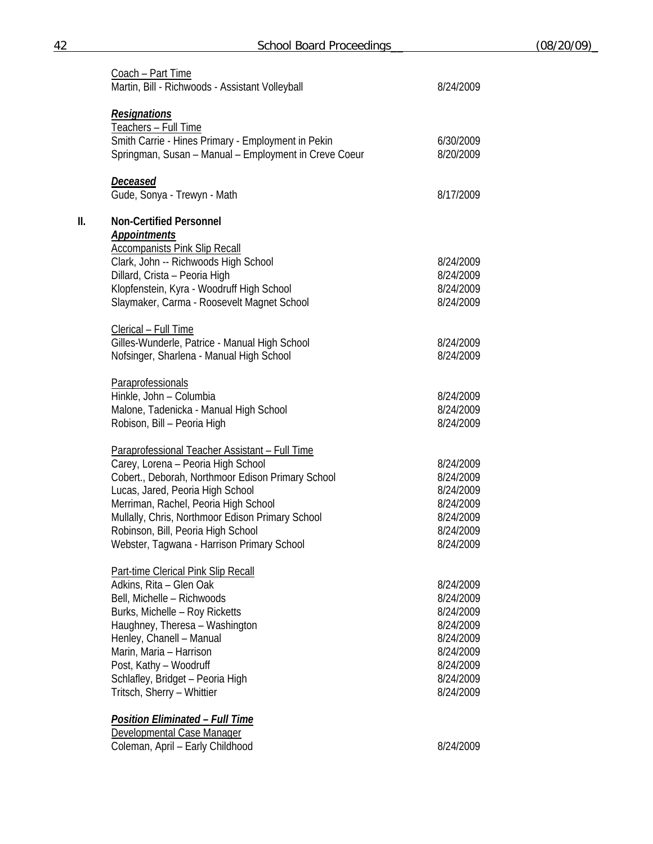|     | Coach - Part Time<br>Martin, Bill - Richwoods - Assistant Volleyball                                                                                                                                                                                                                                                                                          | 8/24/2009                                                                                                         |
|-----|---------------------------------------------------------------------------------------------------------------------------------------------------------------------------------------------------------------------------------------------------------------------------------------------------------------------------------------------------------------|-------------------------------------------------------------------------------------------------------------------|
|     | <b>Resignations</b><br>Teachers - Full Time<br>Smith Carrie - Hines Primary - Employment in Pekin<br>Springman, Susan - Manual - Employment in Creve Coeur                                                                                                                                                                                                    | 6/30/2009<br>8/20/2009                                                                                            |
|     | Deceased<br>Gude, Sonya - Trewyn - Math                                                                                                                                                                                                                                                                                                                       | 8/17/2009                                                                                                         |
| II. | <b>Non-Certified Personnel</b><br><b>Appointments</b><br><b>Accompanists Pink Slip Recall</b>                                                                                                                                                                                                                                                                 |                                                                                                                   |
|     | Clark, John -- Richwoods High School<br>Dillard, Crista - Peoria High<br>Klopfenstein, Kyra - Woodruff High School<br>Slaymaker, Carma - Roosevelt Magnet School                                                                                                                                                                                              | 8/24/2009<br>8/24/2009<br>8/24/2009<br>8/24/2009                                                                  |
|     | Clerical - Full Time<br>Gilles-Wunderle, Patrice - Manual High School<br>Nofsinger, Sharlena - Manual High School                                                                                                                                                                                                                                             | 8/24/2009<br>8/24/2009                                                                                            |
|     | Paraprofessionals<br>Hinkle, John - Columbia<br>Malone, Tadenicka - Manual High School<br>Robison, Bill - Peoria High                                                                                                                                                                                                                                         | 8/24/2009<br>8/24/2009<br>8/24/2009                                                                               |
|     | Paraprofessional Teacher Assistant - Full Time<br>Carey, Lorena - Peoria High School<br>Cobert., Deborah, Northmoor Edison Primary School<br>Lucas, Jared, Peoria High School<br>Merriman, Rachel, Peoria High School<br>Mullally, Chris, Northmoor Edison Primary School<br>Robinson, Bill, Peoria High School<br>Webster, Tagwana - Harrison Primary School | 8/24/2009<br>8/24/2009<br>8/24/2009<br>8/24/2009<br>8/24/2009<br>8/24/2009<br>8/24/2009                           |
|     | Part-time Clerical Pink Slip Recall<br>Adkins, Rita - Glen Oak<br>Bell, Michelle - Richwoods<br>Burks, Michelle - Roy Ricketts<br>Haughney, Theresa - Washington<br>Henley, Chanell - Manual<br>Marin, Maria - Harrison<br>Post, Kathy - Woodruff<br>Schlafley, Bridget - Peoria High<br>Tritsch, Sherry - Whittier                                           | 8/24/2009<br>8/24/2009<br>8/24/2009<br>8/24/2009<br>8/24/2009<br>8/24/2009<br>8/24/2009<br>8/24/2009<br>8/24/2009 |
|     | <u> Position Eliminated – Full Time</u><br>Developmental Case Manager<br>Coleman, April - Early Childhood                                                                                                                                                                                                                                                     | 8/24/2009                                                                                                         |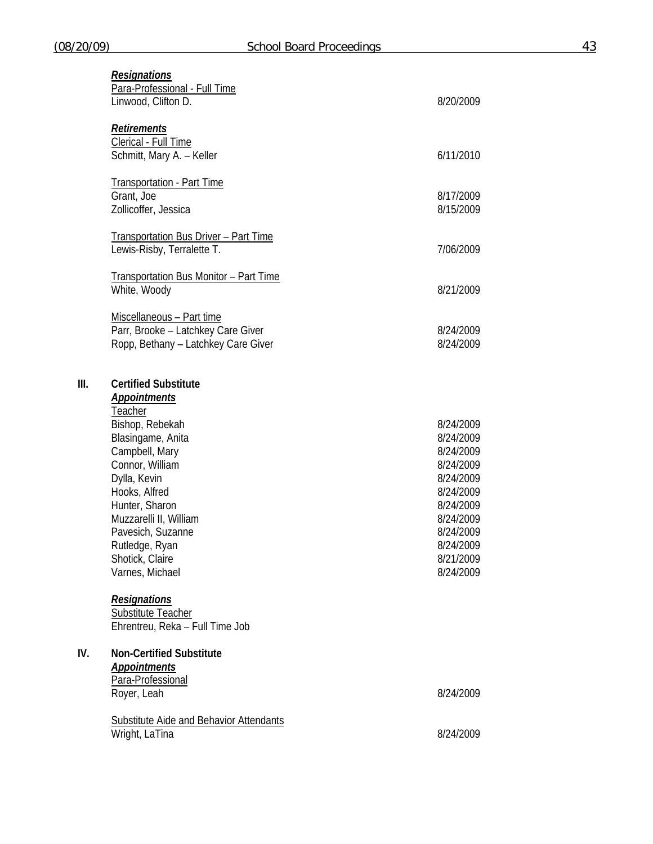|      | <b>Resignations</b><br>Para-Professional - Full Time<br>Linwood, Clifton D.                                                                                                                                                                                                             | 8/20/2009                                                                                                                                                |
|------|-----------------------------------------------------------------------------------------------------------------------------------------------------------------------------------------------------------------------------------------------------------------------------------------|----------------------------------------------------------------------------------------------------------------------------------------------------------|
|      | <b>Retirements</b><br>Clerical - Full Time<br>Schmitt, Mary A. - Keller                                                                                                                                                                                                                 | 6/11/2010                                                                                                                                                |
|      | <b>Transportation - Part Time</b><br>Grant, Joe<br>Zollicoffer, Jessica                                                                                                                                                                                                                 | 8/17/2009<br>8/15/2009                                                                                                                                   |
|      | <b>Transportation Bus Driver - Part Time</b><br>Lewis-Risby, Terralette T.                                                                                                                                                                                                              | 7/06/2009                                                                                                                                                |
|      | Transportation Bus Monitor - Part Time<br>White, Woody                                                                                                                                                                                                                                  | 8/21/2009                                                                                                                                                |
|      | Miscellaneous - Part time<br>Parr, Brooke - Latchkey Care Giver<br>Ropp, Bethany - Latchkey Care Giver                                                                                                                                                                                  | 8/24/2009<br>8/24/2009                                                                                                                                   |
| III. | <b>Certified Substitute</b><br><b>Appointments</b><br>Teacher                                                                                                                                                                                                                           |                                                                                                                                                          |
|      | Bishop, Rebekah<br>Blasingame, Anita<br>Campbell, Mary<br>Connor, William<br>Dylla, Kevin<br>Hooks, Alfred<br>Hunter, Sharon<br>Muzzarelli II, William<br>Pavesich, Suzanne<br>Rutledge, Ryan<br>Shotick, Claire<br>Varnes, Michael<br><b>Resignations</b><br><b>Substitute Teacher</b> | 8/24/2009<br>8/24/2009<br>8/24/2009<br>8/24/2009<br>8/24/2009<br>8/24/2009<br>8/24/2009<br>8/24/2009<br>8/24/2009<br>8/24/2009<br>8/21/2009<br>8/24/2009 |
| IV.  | Ehrentreu, Reka - Full Time Job<br><b>Non-Certified Substitute</b>                                                                                                                                                                                                                      |                                                                                                                                                          |
|      | <b>Appointments</b><br>Para-Professional<br>Royer, Leah                                                                                                                                                                                                                                 | 8/24/2009                                                                                                                                                |
|      | <b>Substitute Aide and Behavior Attendants</b><br>Wright, LaTina                                                                                                                                                                                                                        | 8/24/2009                                                                                                                                                |